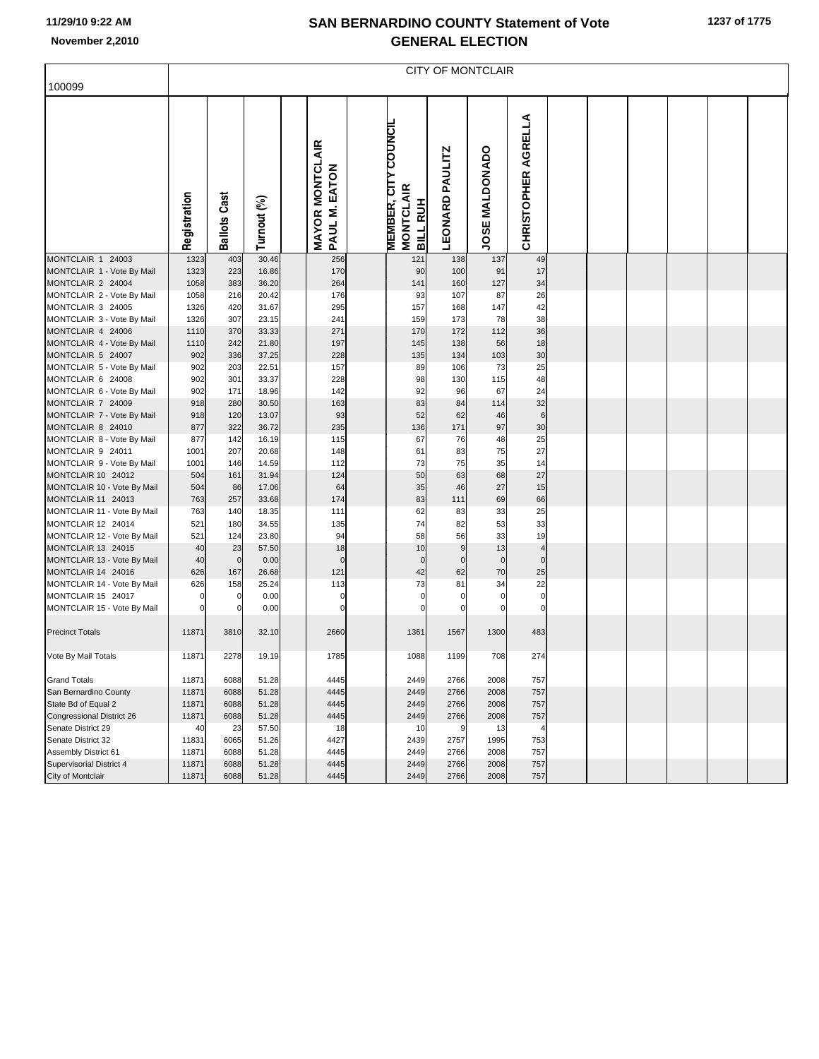## **SAN BERNARDINO COUNTY Statement of Vote November 2,2010 GENERAL ELECTION**

|                                                 | <b>CITY OF MONTCLAIR</b> |                     |                |  |                                         |  |                                                                    |                        |                |                               |  |  |  |  |  |  |
|-------------------------------------------------|--------------------------|---------------------|----------------|--|-----------------------------------------|--|--------------------------------------------------------------------|------------------------|----------------|-------------------------------|--|--|--|--|--|--|
| 100099                                          |                          |                     |                |  |                                         |  |                                                                    |                        |                |                               |  |  |  |  |  |  |
|                                                 | Registration             | <b>Ballots Cast</b> | Turnout (%)    |  | <b>MAYOR MONTCLAIR</b><br>PAUL M. EATON |  | <b>MEMBER, CITY COUNCIL</b><br><b>MONTCLAIR</b><br><b>BILL RUH</b> | <b>LEONARD PAULITZ</b> | JOSE MALDONADO | AGRELLA<br><b>CHRISTOPHER</b> |  |  |  |  |  |  |
| MONTCLAIR 1 24003                               | 1323                     | 403                 | 30.46          |  | 256                                     |  | 121                                                                | 138                    | 137            | 49                            |  |  |  |  |  |  |
| MONTCLAIR 1 - Vote By Mail                      | 1323                     | 223                 | 16.86          |  | 170                                     |  | 90                                                                 | 100                    | 91             | 17                            |  |  |  |  |  |  |
| MONTCLAIR 2 24004                               | 1058                     | 383                 | 36.20          |  | 264                                     |  | 141                                                                | 160                    | 127            | 34                            |  |  |  |  |  |  |
| MONTCLAIR 2 - Vote By Mail                      | 1058                     | 216                 | 20.42          |  | 176                                     |  | 93                                                                 | 107                    | 87             | 26                            |  |  |  |  |  |  |
| MONTCLAIR 3 24005                               | 1326                     | 420                 | 31.67          |  | 295                                     |  | 157                                                                | 168                    | 147            | 42                            |  |  |  |  |  |  |
| MONTCLAIR 3 - Vote By Mail                      | 1326                     | 307                 | 23.15          |  | 241                                     |  | 159                                                                | 173                    | 78             | 38                            |  |  |  |  |  |  |
| MONTCLAIR 4 24006                               | 1110                     | 370                 | 33.33          |  | 271                                     |  | 170                                                                | 172                    | 112            | 36                            |  |  |  |  |  |  |
| MONTCLAIR 4 - Vote By Mail                      | 1110                     | 242                 | 21.80          |  | 197                                     |  | 145                                                                | 138                    | 56<br>103      | 18                            |  |  |  |  |  |  |
| MONTCLAIR 5 24007                               | 902                      | 336                 | 37.25          |  | 228                                     |  | 135                                                                | 134                    |                | 30                            |  |  |  |  |  |  |
| MONTCLAIR 5 - Vote By Mail                      | 902<br>902               | 203<br>301          | 22.51<br>33.37 |  | 157<br>228                              |  | 89<br>98                                                           | 106<br>130             | 73<br>115      | 25<br>48                      |  |  |  |  |  |  |
| MONTCLAIR 6 24008<br>MONTCLAIR 6 - Vote By Mail | 902                      | 171                 | 18.96          |  | 142                                     |  | 92                                                                 | 96                     | 67             | 24                            |  |  |  |  |  |  |
| MONTCLAIR 7 24009                               | 918                      | 280                 | 30.50          |  | 163                                     |  | 83                                                                 | 84                     | 114            | 32                            |  |  |  |  |  |  |
| MONTCLAIR 7 - Vote By Mail                      | 918                      | 120                 | 13.07          |  | 93                                      |  | 52                                                                 | 62                     | 46             | $6\phantom{1}6$               |  |  |  |  |  |  |
| MONTCLAIR 8 24010                               | 877                      | 322                 | 36.72          |  | 235                                     |  | 136                                                                | 171                    | 97             | 30                            |  |  |  |  |  |  |
| MONTCLAIR 8 - Vote By Mail                      | 877                      | 142                 | 16.19          |  | 115                                     |  | 67                                                                 | 76                     | 48             | 25                            |  |  |  |  |  |  |
| MONTCLAIR 9 24011                               | 1001                     | 207                 | 20.68          |  | 148                                     |  | 61                                                                 | 83                     | 75             | 27                            |  |  |  |  |  |  |
| MONTCLAIR 9 - Vote By Mail                      | 1001                     | 146                 | 14.59          |  | 112                                     |  | 73                                                                 | 75                     | 35             | 14                            |  |  |  |  |  |  |
| MONTCLAIR 10 24012                              | 504                      | 161                 | 31.94          |  | 124                                     |  | 50                                                                 | 63                     | 68             | 27                            |  |  |  |  |  |  |
| MONTCLAIR 10 - Vote By Mail                     | 504                      | 86                  | 17.06          |  | 64                                      |  | 35                                                                 | 46                     | 27             | 15                            |  |  |  |  |  |  |
| MONTCLAIR 11 24013                              | 763                      | 257                 | 33.68          |  | 174                                     |  | 83                                                                 | 111                    | 69             | 66                            |  |  |  |  |  |  |
| MONTCLAIR 11 - Vote By Mail                     | 763                      | 140                 | 18.35          |  | 111                                     |  | 62                                                                 | 83                     | 33             | 25                            |  |  |  |  |  |  |
| MONTCLAIR 12 24014                              | 521                      | 180                 | 34.55          |  | 135                                     |  | 74                                                                 | 82                     | 53             | 33                            |  |  |  |  |  |  |
| MONTCLAIR 12 - Vote By Mail                     | 521                      | 124                 | 23.80          |  | 94                                      |  | 58                                                                 | 56                     | 33             | 19                            |  |  |  |  |  |  |
| MONTCLAIR 13 24015                              | 40                       | 23                  | 57.50          |  | 18                                      |  | 10                                                                 | 9                      | 13             | $\overline{4}$                |  |  |  |  |  |  |
| MONTCLAIR 13 - Vote By Mail                     | 40                       | $\mathbf 0$         | 0.00           |  | $\mathbf 0$                             |  | $\bf 0$                                                            | $\mathbf 0$            | $\overline{0}$ | $\mathbf 0$                   |  |  |  |  |  |  |
| MONTCLAIR 14 24016                              | 626                      | 167                 | 26.68          |  | 121                                     |  | 42                                                                 | 62                     | 70             | 25                            |  |  |  |  |  |  |
| MONTCLAIR 14 - Vote By Mail                     | 626                      | 158                 | 25.24          |  | 113                                     |  | 73                                                                 | 81                     | 34             | 22                            |  |  |  |  |  |  |
| MONTCLAIR 15 24017                              |                          | 0                   | 0.00           |  | 0                                       |  | $\mathbf 0$                                                        | $\mathbf 0$            | $\mathbf 0$    | $\mathbf 0$                   |  |  |  |  |  |  |
| MONTCLAIR 15 - Vote By Mail                     |                          | $\mathbf 0$         | 0.00           |  | $\mathbf 0$                             |  | $\mathbf 0$                                                        | $\Omega$               | $\Omega$       | $\mathbf 0$                   |  |  |  |  |  |  |
| <b>Precinct Totals</b>                          | 11871                    | 3810                | 32.10          |  | 2660                                    |  | 1361                                                               | 1567                   | 1300           | 483                           |  |  |  |  |  |  |
| Vote By Mail Totals                             | 11871                    | 2278                | 19.19          |  | 1785                                    |  | 1088                                                               | 1199                   | 708            | 274                           |  |  |  |  |  |  |
| <b>Grand Totals</b>                             | 11871                    | 6088                | 51.28          |  | 4445                                    |  | 2449                                                               | 2766                   | 2008           | 757                           |  |  |  |  |  |  |
| San Bernardino County                           | 11871                    | 6088                | 51.28          |  | 4445                                    |  | 2449                                                               | 2766                   | 2008           | 757                           |  |  |  |  |  |  |
| State Bd of Equal 2                             | 11871                    | 6088                | 51.28          |  | 4445                                    |  | 2449                                                               | 2766                   | 2008           | 757                           |  |  |  |  |  |  |
| Congressional District 26                       | 11871                    | 6088                | 51.28          |  | 4445                                    |  | 2449                                                               | 2766                   | 2008           | 757                           |  |  |  |  |  |  |
| Senate District 29                              | 40                       | 23                  | 57.50          |  | 18                                      |  | 10                                                                 | g                      | 13             | 4                             |  |  |  |  |  |  |
| Senate District 32                              | 11831                    | 6065                | 51.26          |  | 4427                                    |  | 2439                                                               | 2757                   | 1995           | 753                           |  |  |  |  |  |  |
| Assembly District 61                            | 11871                    | 6088                | 51.28          |  | 4445                                    |  | 2449                                                               | 2766                   | 2008           | 757                           |  |  |  |  |  |  |
| <b>Supervisorial District 4</b>                 | 11871                    | 6088                | 51.28          |  | 4445                                    |  | 2449                                                               | 2766                   | 2008           | 757                           |  |  |  |  |  |  |
| City of Montclair                               | 11871                    | 6088                | 51.28          |  | 4445                                    |  | 2449                                                               | 2766                   | 2008           | 757                           |  |  |  |  |  |  |